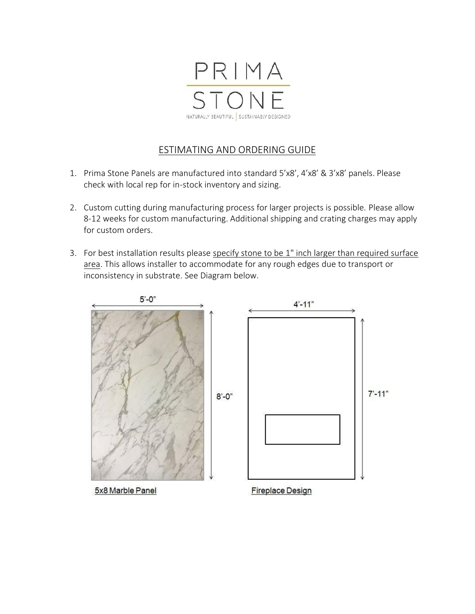

## ESTIMATING AND ORDERING GUIDE

- 1. Prima Stone Panels are manufactured into standard **5'x8', 4'x8' & 3'x8' panels**. Please check with local rep for in-stock inventory and sizing.
- 2. Custom cutting during manufacturing process for larger projects is possible. Please allow 8-12 weeks for custom manufacturing. Additional shipping and crating charges may apply for custom orders.
- 3. For best installation results please specify stone to be 1" inch larger than required surface area. This allows installer to accommodate for any rough edges due to transport or inconsistency in substrate. See Diagram below.

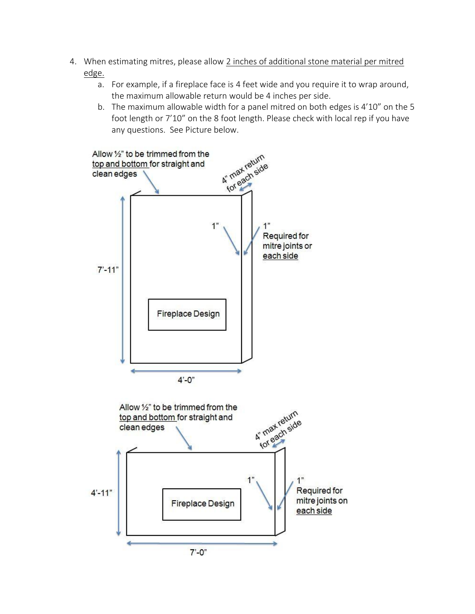- 4. When estimating mitres, please allow 2 inches of additional stone material per mitred edge.
	- a. For example, if a fireplace face is 4 feet wide and you require it to wrap around, the maximum allowable return would be 4 inches per side.
	- b. The maximum allowable width for a panel mitred on both edges is 4'10" on the 5 foot length or 7'10" on the 8 foot length. Please check with local rep if you have any questions. See Picture below.